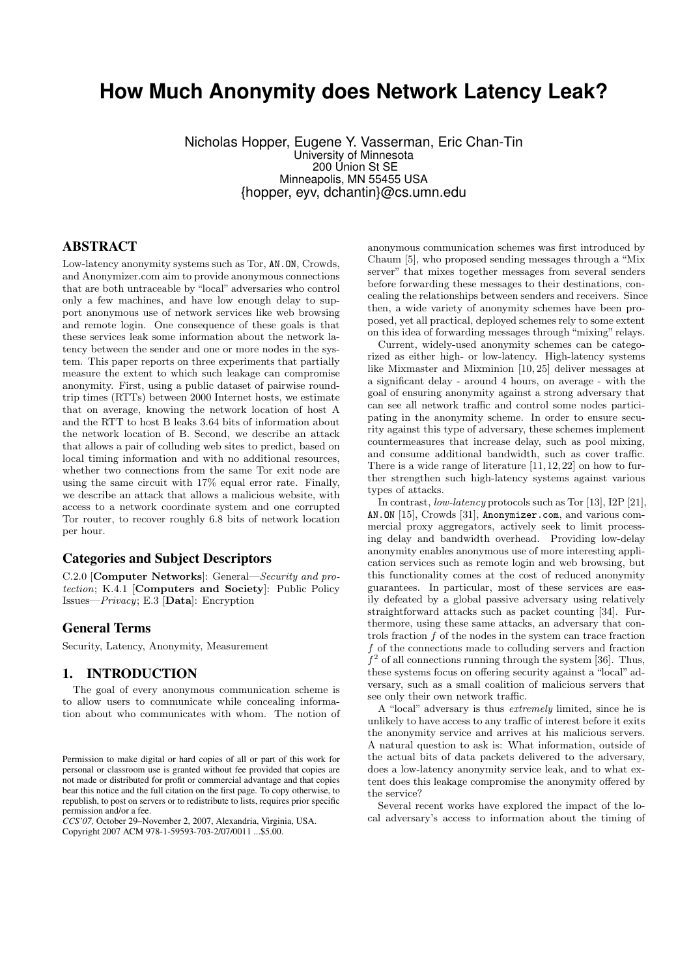# **How Much Anonymity does Network Latency Leak?**

Nicholas Hopper, Eugene Y. Vasserman, Eric Chan-Tin University of Minnesota 200 Union St SE Minneapolis, MN 55455 USA {hopper, eyv, dchantin}@cs.umn.edu

## ABSTRACT

Low-latency anonymity systems such as Tor, AN.ON, Crowds, and Anonymizer.com aim to provide anonymous connections that are both untraceable by "local" adversaries who control only a few machines, and have low enough delay to support anonymous use of network services like web browsing and remote login. One consequence of these goals is that these services leak some information about the network latency between the sender and one or more nodes in the system. This paper reports on three experiments that partially measure the extent to which such leakage can compromise anonymity. First, using a public dataset of pairwise roundtrip times (RTTs) between 2000 Internet hosts, we estimate that on average, knowing the network location of host A and the RTT to host B leaks 3.64 bits of information about the network location of B. Second, we describe an attack that allows a pair of colluding web sites to predict, based on local timing information and with no additional resources, whether two connections from the same Tor exit node are using the same circuit with 17% equal error rate. Finally, we describe an attack that allows a malicious website, with access to a network coordinate system and one corrupted Tor router, to recover roughly 6.8 bits of network location per hour.

#### Categories and Subject Descriptors

C.2.0 [Computer Networks]: General—Security and protection; K.4.1 [Computers and Society]: Public Policy Issues—Privacy; E.3 [Data]: Encryption

#### General Terms

Security, Latency, Anonymity, Measurement

## 1. INTRODUCTION

The goal of every anonymous communication scheme is to allow users to communicate while concealing information about who communicates with whom. The notion of

*CCS'07,* October 29–November 2, 2007, Alexandria, Virginia, USA. Copyright 2007 ACM 978-1-59593-703-2/07/0011 ...\$5.00.

anonymous communication schemes was first introduced by Chaum [5], who proposed sending messages through a "Mix server" that mixes together messages from several senders before forwarding these messages to their destinations, concealing the relationships between senders and receivers. Since then, a wide variety of anonymity schemes have been proposed, yet all practical, deployed schemes rely to some extent on this idea of forwarding messages through "mixing" relays.

Current, widely-used anonymity schemes can be categorized as either high- or low-latency. High-latency systems like Mixmaster and Mixminion [10, 25] deliver messages at a significant delay - around 4 hours, on average - with the goal of ensuring anonymity against a strong adversary that can see all network traffic and control some nodes participating in the anonymity scheme. In order to ensure security against this type of adversary, these schemes implement countermeasures that increase delay, such as pool mixing, and consume additional bandwidth, such as cover traffic. There is a wide range of literature [11, 12, 22] on how to further strengthen such high-latency systems against various types of attacks.

In contrast, low-latency protocols such as Tor [13], I2P [21], AN.ON [15], Crowds [31], Anonymizer.com, and various commercial proxy aggregators, actively seek to limit processing delay and bandwidth overhead. Providing low-delay anonymity enables anonymous use of more interesting application services such as remote login and web browsing, but this functionality comes at the cost of reduced anonymity guarantees. In particular, most of these services are easily defeated by a global passive adversary using relatively straightforward attacks such as packet counting [34]. Furthermore, using these same attacks, an adversary that controls fraction f of the nodes in the system can trace fraction f of the connections made to colluding servers and fraction  $f<sup>2</sup>$  of all connections running through the system [36]. Thus, these systems focus on offering security against a "local" adversary, such as a small coalition of malicious servers that see only their own network traffic.

A "local" adversary is thus extremely limited, since he is unlikely to have access to any traffic of interest before it exits the anonymity service and arrives at his malicious servers. A natural question to ask is: What information, outside of the actual bits of data packets delivered to the adversary, does a low-latency anonymity service leak, and to what extent does this leakage compromise the anonymity offered by the service?

Several recent works have explored the impact of the local adversary's access to information about the timing of

Permission to make digital or hard copies of all or part of this work for personal or classroom use is granted without fee provided that copies are not made or distributed for profit or commercial advantage and that copies bear this notice and the full citation on the first page. To copy otherwise, to republish, to post on servers or to redistribute to lists, requires prior specific permission and/or a fee.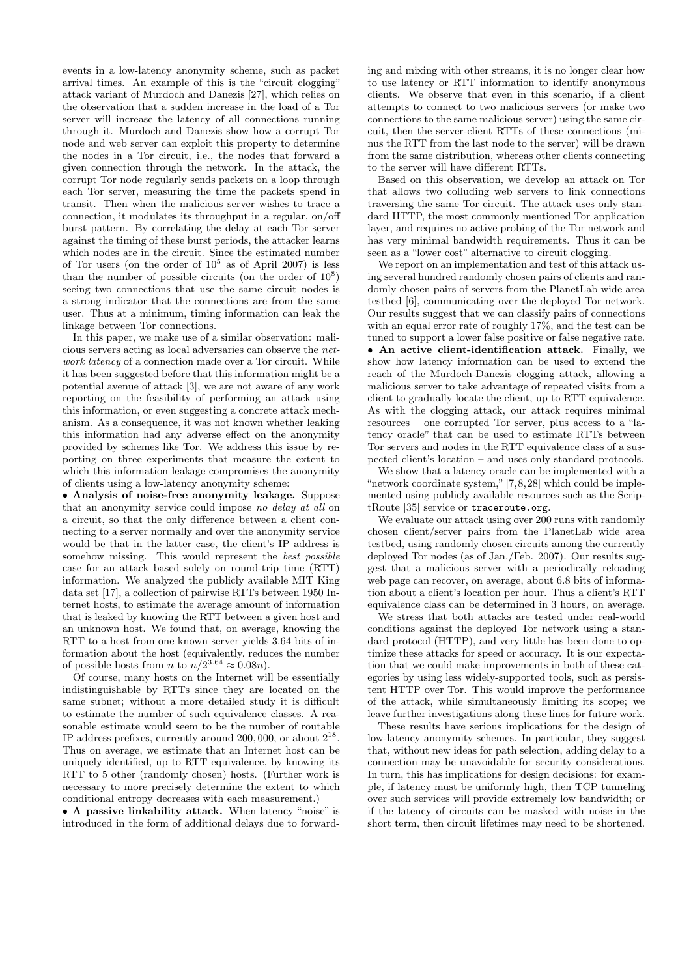events in a low-latency anonymity scheme, such as packet arrival times. An example of this is the "circuit clogging" attack variant of Murdoch and Danezis [27], which relies on the observation that a sudden increase in the load of a Tor server will increase the latency of all connections running through it. Murdoch and Danezis show how a corrupt Tor node and web server can exploit this property to determine the nodes in a Tor circuit, i.e., the nodes that forward a given connection through the network. In the attack, the corrupt Tor node regularly sends packets on a loop through each Tor server, measuring the time the packets spend in transit. Then when the malicious server wishes to trace a connection, it modulates its throughput in a regular, on/off burst pattern. By correlating the delay at each Tor server against the timing of these burst periods, the attacker learns which nodes are in the circuit. Since the estimated number of Tor users (on the order of  $10^5$  as of April 2007) is less than the number of possible circuits (on the order of  $10^8$ ) seeing two connections that use the same circuit nodes is a strong indicator that the connections are from the same user. Thus at a minimum, timing information can leak the linkage between Tor connections.

In this paper, we make use of a similar observation: malicious servers acting as local adversaries can observe the network *latency* of a connection made over a Tor circuit. While it has been suggested before that this information might be a potential avenue of attack [3], we are not aware of any work reporting on the feasibility of performing an attack using this information, or even suggesting a concrete attack mechanism. As a consequence, it was not known whether leaking this information had any adverse effect on the anonymity provided by schemes like Tor. We address this issue by reporting on three experiments that measure the extent to which this information leakage compromises the anonymity of clients using a low-latency anonymity scheme:

• Analysis of noise-free anonymity leakage. Suppose that an anonymity service could impose no delay at all on a circuit, so that the only difference between a client connecting to a server normally and over the anonymity service would be that in the latter case, the client's IP address is somehow missing. This would represent the best possible case for an attack based solely on round-trip time (RTT) information. We analyzed the publicly available MIT King data set [17], a collection of pairwise RTTs between 1950 Internet hosts, to estimate the average amount of information that is leaked by knowing the RTT between a given host and an unknown host. We found that, on average, knowing the RTT to a host from one known server yields 3.64 bits of information about the host (equivalently, reduces the number of possible hosts from *n* to  $n/2^{3.64} \approx 0.08n$ .

Of course, many hosts on the Internet will be essentially indistinguishable by RTTs since they are located on the same subnet; without a more detailed study it is difficult to estimate the number of such equivalence classes. A reasonable estimate would seem to be the number of routable IP address prefixes, currently around  $200,000$ , or about  $2^{18}$ . Thus on average, we estimate that an Internet host can be uniquely identified, up to RTT equivalence, by knowing its RTT to 5 other (randomly chosen) hosts. (Further work is necessary to more precisely determine the extent to which conditional entropy decreases with each measurement.)

• A passive linkability attack. When latency "noise" is introduced in the form of additional delays due to forwarding and mixing with other streams, it is no longer clear how to use latency or RTT information to identify anonymous clients. We observe that even in this scenario, if a client attempts to connect to two malicious servers (or make two connections to the same malicious server) using the same circuit, then the server-client RTTs of these connections (minus the RTT from the last node to the server) will be drawn from the same distribution, whereas other clients connecting to the server will have different RTTs.

Based on this observation, we develop an attack on Tor that allows two colluding web servers to link connections traversing the same Tor circuit. The attack uses only standard HTTP, the most commonly mentioned Tor application layer, and requires no active probing of the Tor network and has very minimal bandwidth requirements. Thus it can be seen as a "lower cost" alternative to circuit clogging.

We report on an implementation and test of this attack using several hundred randomly chosen pairs of clients and randomly chosen pairs of servers from the PlanetLab wide area testbed [6], communicating over the deployed Tor network. Our results suggest that we can classify pairs of connections with an equal error rate of roughly 17%, and the test can be tuned to support a lower false positive or false negative rate. • An active client-identification attack. Finally, we show how latency information can be used to extend the reach of the Murdoch-Danezis clogging attack, allowing a malicious server to take advantage of repeated visits from a client to gradually locate the client, up to RTT equivalence. As with the clogging attack, our attack requires minimal resources – one corrupted Tor server, plus access to a "latency oracle" that can be used to estimate RTTs between Tor servers and nodes in the RTT equivalence class of a suspected client's location – and uses only standard protocols.

We show that a latency oracle can be implemented with a "network coordinate system," [7,8,28] which could be implemented using publicly available resources such as the ScriptRoute [35] service or traceroute.org.

We evaluate our attack using over 200 runs with randomly chosen client/server pairs from the PlanetLab wide area testbed, using randomly chosen circuits among the currently deployed Tor nodes (as of Jan./Feb. 2007). Our results suggest that a malicious server with a periodically reloading web page can recover, on average, about 6.8 bits of information about a client's location per hour. Thus a client's RTT equivalence class can be determined in 3 hours, on average.

We stress that both attacks are tested under real-world conditions against the deployed Tor network using a standard protocol (HTTP), and very little has been done to optimize these attacks for speed or accuracy. It is our expectation that we could make improvements in both of these categories by using less widely-supported tools, such as persistent HTTP over Tor. This would improve the performance of the attack, while simultaneously limiting its scope; we leave further investigations along these lines for future work.

These results have serious implications for the design of low-latency anonymity schemes. In particular, they suggest that, without new ideas for path selection, adding delay to a connection may be unavoidable for security considerations. In turn, this has implications for design decisions: for example, if latency must be uniformly high, then TCP tunneling over such services will provide extremely low bandwidth; or if the latency of circuits can be masked with noise in the short term, then circuit lifetimes may need to be shortened.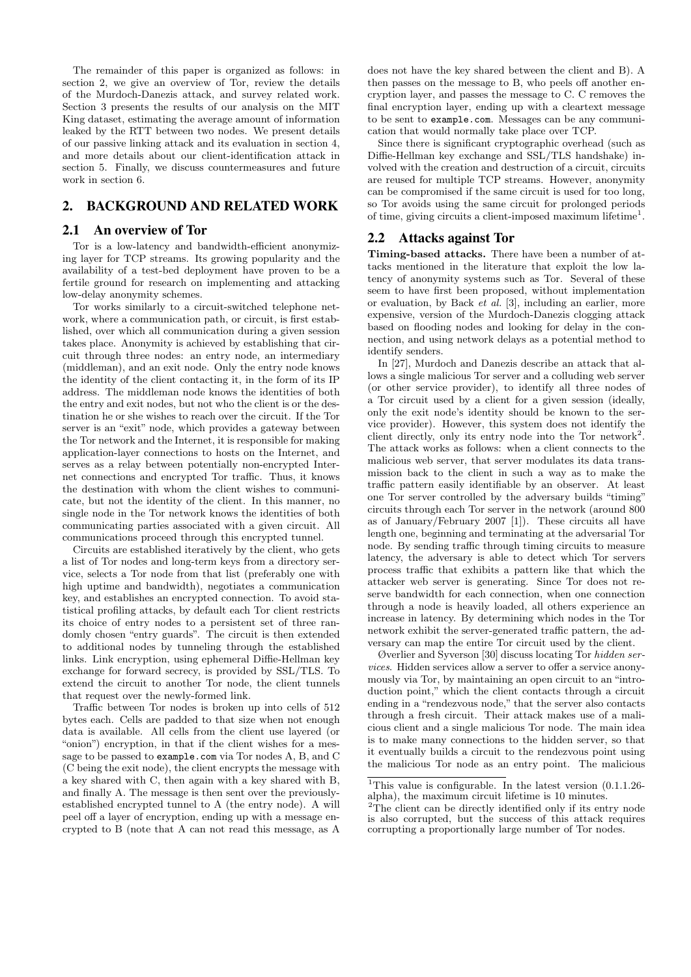The remainder of this paper is organized as follows: in section 2, we give an overview of Tor, review the details of the Murdoch-Danezis attack, and survey related work. Section 3 presents the results of our analysis on the MIT King dataset, estimating the average amount of information leaked by the RTT between two nodes. We present details of our passive linking attack and its evaluation in section 4, and more details about our client-identification attack in section 5. Finally, we discuss countermeasures and future work in section 6.

## 2. BACKGROUND AND RELATED WORK

#### 2.1 An overview of Tor

Tor is a low-latency and bandwidth-efficient anonymizing layer for TCP streams. Its growing popularity and the availability of a test-bed deployment have proven to be a fertile ground for research on implementing and attacking low-delay anonymity schemes.

Tor works similarly to a circuit-switched telephone network, where a communication path, or circuit, is first established, over which all communication during a given session takes place. Anonymity is achieved by establishing that circuit through three nodes: an entry node, an intermediary (middleman), and an exit node. Only the entry node knows the identity of the client contacting it, in the form of its IP address. The middleman node knows the identities of both the entry and exit nodes, but not who the client is or the destination he or she wishes to reach over the circuit. If the Tor server is an "exit" node, which provides a gateway between the Tor network and the Internet, it is responsible for making application-layer connections to hosts on the Internet, and serves as a relay between potentially non-encrypted Internet connections and encrypted Tor traffic. Thus, it knows the destination with whom the client wishes to communicate, but not the identity of the client. In this manner, no single node in the Tor network knows the identities of both communicating parties associated with a given circuit. All communications proceed through this encrypted tunnel.

Circuits are established iteratively by the client, who gets a list of Tor nodes and long-term keys from a directory service, selects a Tor node from that list (preferably one with high uptime and bandwidth), negotiates a communication key, and establishes an encrypted connection. To avoid statistical profiling attacks, by default each Tor client restricts its choice of entry nodes to a persistent set of three randomly chosen "entry guards". The circuit is then extended to additional nodes by tunneling through the established links. Link encryption, using ephemeral Diffie-Hellman key exchange for forward secrecy, is provided by SSL/TLS. To extend the circuit to another Tor node, the client tunnels that request over the newly-formed link.

Traffic between Tor nodes is broken up into cells of 512 bytes each. Cells are padded to that size when not enough data is available. All cells from the client use layered (or "onion") encryption, in that if the client wishes for a message to be passed to example.com via Tor nodes A, B, and C (C being the exit node), the client encrypts the message with a key shared with C, then again with a key shared with B, and finally A. The message is then sent over the previouslyestablished encrypted tunnel to A (the entry node). A will peel off a layer of encryption, ending up with a message encrypted to B (note that A can not read this message, as A

does not have the key shared between the client and B). A then passes on the message to B, who peels off another encryption layer, and passes the message to C. C removes the final encryption layer, ending up with a cleartext message to be sent to example.com. Messages can be any communication that would normally take place over TCP.

Since there is significant cryptographic overhead (such as Diffie-Hellman key exchange and SSL/TLS handshake) involved with the creation and destruction of a circuit, circuits are reused for multiple TCP streams. However, anonymity can be compromised if the same circuit is used for too long, so Tor avoids using the same circuit for prolonged periods of time, giving circuits a client-imposed maximum lifetime<sup>1</sup>.

## 2.2 Attacks against Tor

Timing-based attacks. There have been a number of attacks mentioned in the literature that exploit the low latency of anonymity systems such as Tor. Several of these seem to have first been proposed, without implementation or evaluation, by Back et al. [3], including an earlier, more expensive, version of the Murdoch-Danezis clogging attack based on flooding nodes and looking for delay in the connection, and using network delays as a potential method to identify senders.

In [27], Murdoch and Danezis describe an attack that allows a single malicious Tor server and a colluding web server (or other service provider), to identify all three nodes of a Tor circuit used by a client for a given session (ideally, only the exit node's identity should be known to the service provider). However, this system does not identify the client directly, only its entry node into the Tor network<sup>2</sup>. The attack works as follows: when a client connects to the malicious web server, that server modulates its data transmission back to the client in such a way as to make the traffic pattern easily identifiable by an observer. At least one Tor server controlled by the adversary builds "timing" circuits through each Tor server in the network (around 800 as of January/February 2007 [1]). These circuits all have length one, beginning and terminating at the adversarial Tor node. By sending traffic through timing circuits to measure latency, the adversary is able to detect which Tor servers process traffic that exhibits a pattern like that which the attacker web server is generating. Since Tor does not reserve bandwidth for each connection, when one connection through a node is heavily loaded, all others experience an increase in latency. By determining which nodes in the Tor network exhibit the server-generated traffic pattern, the adversary can map the entire Tor circuit used by the client.

Øverlier and Syverson [30] discuss locating Tor hidden services. Hidden services allow a server to offer a service anonymously via Tor, by maintaining an open circuit to an "introduction point," which the client contacts through a circuit ending in a "rendezvous node," that the server also contacts through a fresh circuit. Their attack makes use of a malicious client and a single malicious Tor node. The main idea is to make many connections to the hidden server, so that it eventually builds a circuit to the rendezvous point using the malicious Tor node as an entry point. The malicious

<sup>&</sup>lt;sup>1</sup>This value is configurable. In the latest version  $(0.1.1.26$ alpha), the maximum circuit lifetime is 10 minutes.

<sup>&</sup>lt;sup>2</sup>The client can be directly identified only if its entry node is also corrupted, but the success of this attack requires corrupting a proportionally large number of Tor nodes.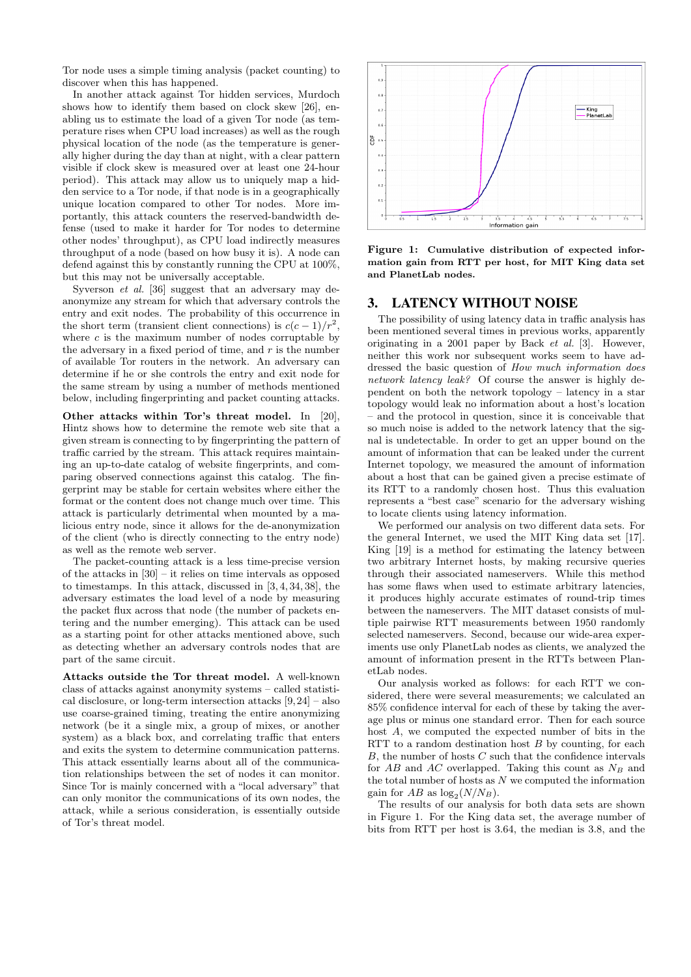Tor node uses a simple timing analysis (packet counting) to discover when this has happened.

In another attack against Tor hidden services, Murdoch shows how to identify them based on clock skew [26], enabling us to estimate the load of a given Tor node (as temperature rises when CPU load increases) as well as the rough physical location of the node (as the temperature is generally higher during the day than at night, with a clear pattern visible if clock skew is measured over at least one 24-hour period). This attack may allow us to uniquely map a hidden service to a Tor node, if that node is in a geographically unique location compared to other Tor nodes. More importantly, this attack counters the reserved-bandwidth defense (used to make it harder for Tor nodes to determine other nodes' throughput), as CPU load indirectly measures throughput of a node (based on how busy it is). A node can defend against this by constantly running the CPU at 100%, but this may not be universally acceptable.

Syverson et al. [36] suggest that an adversary may deanonymize any stream for which that adversary controls the entry and exit nodes. The probability of this occurrence in the short term (transient client connections) is  $c(c-1)/r^2$ , where  $c$  is the maximum number of nodes corruptable by the adversary in a fixed period of time, and  $r$  is the number of available Tor routers in the network. An adversary can determine if he or she controls the entry and exit node for the same stream by using a number of methods mentioned below, including fingerprinting and packet counting attacks.

Other attacks within Tor's threat model. In [20], Hintz shows how to determine the remote web site that a given stream is connecting to by fingerprinting the pattern of traffic carried by the stream. This attack requires maintaining an up-to-date catalog of website fingerprints, and comparing observed connections against this catalog. The fingerprint may be stable for certain websites where either the format or the content does not change much over time. This attack is particularly detrimental when mounted by a malicious entry node, since it allows for the de-anonymization of the client (who is directly connecting to the entry node) as well as the remote web server.

The packet-counting attack is a less time-precise version of the attacks in [30] – it relies on time intervals as opposed to timestamps. In this attack, discussed in [3, 4, 34, 38], the adversary estimates the load level of a node by measuring the packet flux across that node (the number of packets entering and the number emerging). This attack can be used as a starting point for other attacks mentioned above, such as detecting whether an adversary controls nodes that are part of the same circuit.

Attacks outside the Tor threat model. A well-known class of attacks against anonymity systems – called statistical disclosure, or long-term intersection attacks [9,24] – also use coarse-grained timing, treating the entire anonymizing network (be it a single mix, a group of mixes, or another system) as a black box, and correlating traffic that enters and exits the system to determine communication patterns. This attack essentially learns about all of the communication relationships between the set of nodes it can monitor. Since Tor is mainly concerned with a "local adversary" that can only monitor the communications of its own nodes, the attack, while a serious consideration, is essentially outside of Tor's threat model.



Figure 1: Cumulative distribution of expected information gain from RTT per host, for MIT King data set and PlanetLab nodes.

## 3. LATENCY WITHOUT NOISE

The possibility of using latency data in traffic analysis has been mentioned several times in previous works, apparently originating in a 2001 paper by Back et al. [3]. However, neither this work nor subsequent works seem to have addressed the basic question of How much information does network latency leak? Of course the answer is highly dependent on both the network topology – latency in a star topology would leak no information about a host's location – and the protocol in question, since it is conceivable that so much noise is added to the network latency that the signal is undetectable. In order to get an upper bound on the amount of information that can be leaked under the current Internet topology, we measured the amount of information about a host that can be gained given a precise estimate of its RTT to a randomly chosen host. Thus this evaluation represents a "best case" scenario for the adversary wishing to locate clients using latency information.

We performed our analysis on two different data sets. For the general Internet, we used the MIT King data set [17]. King [19] is a method for estimating the latency between two arbitrary Internet hosts, by making recursive queries through their associated nameservers. While this method has some flaws when used to estimate arbitrary latencies, it produces highly accurate estimates of round-trip times between the nameservers. The MIT dataset consists of multiple pairwise RTT measurements between 1950 randomly selected nameservers. Second, because our wide-area experiments use only PlanetLab nodes as clients, we analyzed the amount of information present in the RTTs between PlanetLab nodes.

Our analysis worked as follows: for each RTT we considered, there were several measurements; we calculated an 85% confidence interval for each of these by taking the average plus or minus one standard error. Then for each source host A, we computed the expected number of bits in the RTT to a random destination host  $B$  by counting, for each  $B$ , the number of hosts  $C$  such that the confidence intervals for  $AB$  and  $AC$  overlapped. Taking this count as  $N_B$  and the total number of hosts as  $N$  we computed the information gain for  $AB$  as  $\log_2(N/N_B)$ .

The results of our analysis for both data sets are shown in Figure 1. For the King data set, the average number of bits from RTT per host is 3.64, the median is 3.8, and the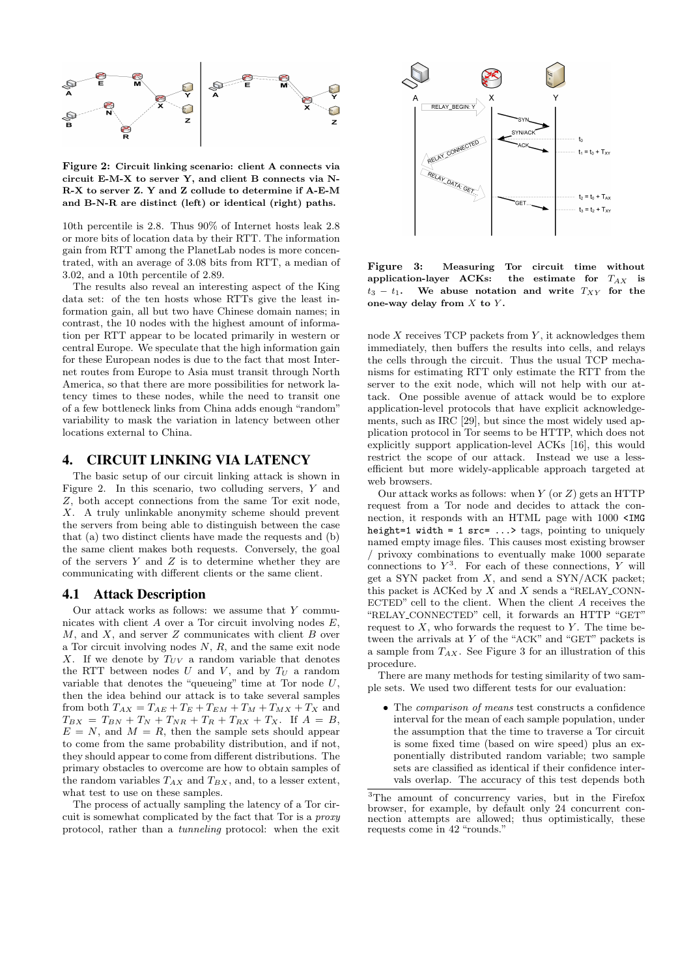

Figure 2: Circuit linking scenario: client A connects via circuit E-M-X to server Y, and client B connects via N-R-X to server Z. Y and Z collude to determine if A-E-M and B-N-R are distinct (left) or identical (right) paths.

10th percentile is 2.8. Thus 90% of Internet hosts leak 2.8 or more bits of location data by their RTT. The information gain from RTT among the PlanetLab nodes is more concentrated, with an average of 3.08 bits from RTT, a median of 3.02, and a 10th percentile of 2.89.

The results also reveal an interesting aspect of the King data set: of the ten hosts whose RTTs give the least information gain, all but two have Chinese domain names; in contrast, the 10 nodes with the highest amount of information per RTT appear to be located primarily in western or central Europe. We speculate that the high information gain for these European nodes is due to the fact that most Internet routes from Europe to Asia must transit through North America, so that there are more possibilities for network latency times to these nodes, while the need to transit one of a few bottleneck links from China adds enough "random" variability to mask the variation in latency between other locations external to China.

#### 4. CIRCUIT LINKING VIA LATENCY

The basic setup of our circuit linking attack is shown in Figure 2. In this scenario, two colluding servers, Y and Z, both accept connections from the same Tor exit node, X. A truly unlinkable anonymity scheme should prevent the servers from being able to distinguish between the case that (a) two distinct clients have made the requests and (b) the same client makes both requests. Conversely, the goal of the servers  $Y$  and  $Z$  is to determine whether they are communicating with different clients or the same client.

#### 4.1 Attack Description

Our attack works as follows: we assume that  $Y$  communicates with client  $A$  over a Tor circuit involving nodes  $E$ ,  $M$ , and  $X$ , and server  $Z$  communicates with client  $B$  over a Tor circuit involving nodes  $N$ ,  $R$ , and the same exit node  $X$ . If we denote by  $T_{UV}$  a random variable that denotes the RTT between nodes U and V, and by  $T_U$  a random variable that denotes the "queueing" time at Tor node  $U$ , then the idea behind our attack is to take several samples from both  $T_{AX} = T_{AE} + T_E + T_{EM} + T_M + T_{MX} + T_X$  and  $T_{BX} = T_{BN} + T_N + T_{NR} + T_R + T_{RX} + T_X$ . If  $A = B$ ,  $E = N$ , and  $M = R$ , then the sample sets should appear to come from the same probability distribution, and if not, they should appear to come from different distributions. The primary obstacles to overcome are how to obtain samples of the random variables  $T_{AX}$  and  $T_{BX}$ , and, to a lesser extent, what test to use on these samples.

The process of actually sampling the latency of a Tor circuit is somewhat complicated by the fact that Tor is a proxy protocol, rather than a tunneling protocol: when the exit



Figure 3: Measuring Tor circuit time without application-layer ACKs: the estimate for  $T_{AX}$  is  $t_3 - t_1$ . We abuse notation and write  $T_{XY}$  for the one-way delay from  $X$  to  $Y$ .

node  $X$  receives TCP packets from  $Y$ , it acknowledges them immediately, then buffers the results into cells, and relays the cells through the circuit. Thus the usual TCP mechanisms for estimating RTT only estimate the RTT from the server to the exit node, which will not help with our attack. One possible avenue of attack would be to explore application-level protocols that have explicit acknowledgements, such as IRC [29], but since the most widely used application protocol in Tor seems to be HTTP, which does not explicitly support application-level ACKs [16], this would restrict the scope of our attack. Instead we use a lessefficient but more widely-applicable approach targeted at web browsers.

Our attack works as follows: when  $Y$  (or  $Z$ ) gets an HTTP request from a Tor node and decides to attack the connection, it responds with an HTML page with 1000 <IMG height=1 width = 1 src=  $\ldots$ > tags, pointing to uniquely named empty image files. This causes most existing browser / privoxy combinations to eventually make 1000 separate connections to  $Y^3$ . For each of these connections, Y will get a SYN packet from  $X$ , and send a SYN/ACK packet; this packet is ACKed by  $X$  and  $X$  sends a "RELAY\_CONN-ECTED" cell to the client. When the client A receives the "RELAY CONNECTED" cell, it forwards an HTTP "GET" request to  $X$ , who forwards the request to  $Y$ . The time between the arrivals at Y of the "ACK" and "GET" packets is a sample from  $T_{AX}$ . See Figure 3 for an illustration of this procedure.

There are many methods for testing similarity of two sample sets. We used two different tests for our evaluation:

• The *comparison of means* test constructs a confidence interval for the mean of each sample population, under the assumption that the time to traverse a Tor circuit is some fixed time (based on wire speed) plus an exponentially distributed random variable; two sample sets are classified as identical if their confidence intervals overlap. The accuracy of this test depends both

<sup>3</sup>The amount of concurrency varies, but in the Firefox browser, for example, by default only 24 concurrent connection attempts are allowed; thus optimistically, these requests come in 42 "rounds."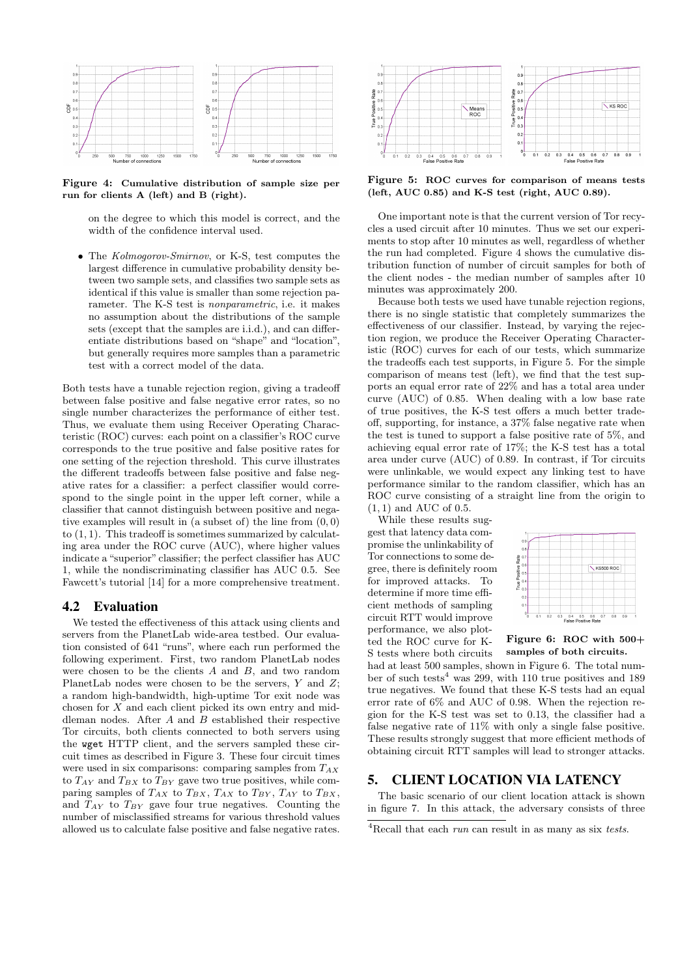

Figure 4: Cumulative distribution of sample size per run for clients A (left) and B (right).

on the degree to which this model is correct, and the width of the confidence interval used.

• The Kolmogorov-Smirnov, or K-S, test computes the largest difference in cumulative probability density between two sample sets, and classifies two sample sets as identical if this value is smaller than some rejection parameter. The K-S test is nonparametric, i.e. it makes no assumption about the distributions of the sample sets (except that the samples are i.i.d.), and can differentiate distributions based on "shape" and "location", but generally requires more samples than a parametric test with a correct model of the data.

Both tests have a tunable rejection region, giving a tradeoff between false positive and false negative error rates, so no single number characterizes the performance of either test. Thus, we evaluate them using Receiver Operating Characteristic (ROC) curves: each point on a classifier's ROC curve corresponds to the true positive and false positive rates for one setting of the rejection threshold. This curve illustrates the different tradeoffs between false positive and false negative rates for a classifier: a perfect classifier would correspond to the single point in the upper left corner, while a classifier that cannot distinguish between positive and negative examples will result in (a subset of) the line from  $(0, 0)$ to  $(1, 1)$ . This tradeoff is sometimes summarized by calculating area under the ROC curve (AUC), where higher values indicate a "superior" classifier; the perfect classifier has AUC 1, while the nondiscriminating classifier has AUC 0.5. See Fawcett's tutorial [14] for a more comprehensive treatment.

#### 4.2 Evaluation

We tested the effectiveness of this attack using clients and servers from the PlanetLab wide-area testbed. Our evaluation consisted of 641 "runs", where each run performed the following experiment. First, two random PlanetLab nodes were chosen to be the clients A and B, and two random PlanetLab nodes were chosen to be the servers, Y and Z; a random high-bandwidth, high-uptime Tor exit node was chosen for X and each client picked its own entry and middleman nodes. After  $A$  and  $B$  established their respective Tor circuits, both clients connected to both servers using the wget HTTP client, and the servers sampled these circuit times as described in Figure 3. These four circuit times were used in six comparisons: comparing samples from  $T_{AX}$ to  $T_{AY}$  and  $T_{BX}$  to  $T_{BY}$  gave two true positives, while comparing samples of  $T_{AX}$  to  $T_{BX}$ ,  $T_{AX}$  to  $T_{BY}$ ,  $T_{AY}$  to  $T_{BX}$ , and  $T_{AY}$  to  $T_{BY}$  gave four true negatives. Counting the number of misclassified streams for various threshold values allowed us to calculate false positive and false negative rates.



Figure 5: ROC curves for comparison of means tests (left, AUC 0.85) and K-S test (right, AUC 0.89).

One important note is that the current version of Tor recycles a used circuit after 10 minutes. Thus we set our experiments to stop after 10 minutes as well, regardless of whether the run had completed. Figure 4 shows the cumulative distribution function of number of circuit samples for both of the client nodes - the median number of samples after 10 minutes was approximately 200.

Because both tests we used have tunable rejection regions, there is no single statistic that completely summarizes the effectiveness of our classifier. Instead, by varying the rejection region, we produce the Receiver Operating Characteristic (ROC) curves for each of our tests, which summarize the tradeoffs each test supports, in Figure 5. For the simple comparison of means test (left), we find that the test supports an equal error rate of 22% and has a total area under curve (AUC) of 0.85. When dealing with a low base rate of true positives, the K-S test offers a much better tradeoff, supporting, for instance, a 37% false negative rate when the test is tuned to support a false positive rate of 5%, and achieving equal error rate of 17%; the K-S test has a total area under curve (AUC) of 0.89. In contrast, if Tor circuits were unlinkable, we would expect any linking test to have performance similar to the random classifier, which has an ROC curve consisting of a straight line from the origin to (1, 1) and AUC of 0.5.

While these results suggest that latency data compromise the unlinkability of Tor connections to some degree, there is definitely room for improved attacks. To determine if more time efficient methods of sampling circuit RTT would improve performance, we also plotted the ROC curve for K-S tests where both circuits



Figure 6: ROC with 500+ samples of both circuits.

had at least 500 samples, shown in Figure 6. The total number of such tests<sup>4</sup> was 299, with 110 true positives and 189 true negatives. We found that these K-S tests had an equal error rate of 6% and AUC of 0.98. When the rejection region for the K-S test was set to 0.13, the classifier had a false negative rate of  $11\%$  with only a single false positive. These results strongly suggest that more efficient methods of obtaining circuit RTT samples will lead to stronger attacks.

# 5. CLIENT LOCATION VIA LATENCY

The basic scenario of our client location attack is shown in figure 7. In this attack, the adversary consists of three

<sup>&</sup>lt;sup>4</sup>Recall that each *run* can result in as many as six tests.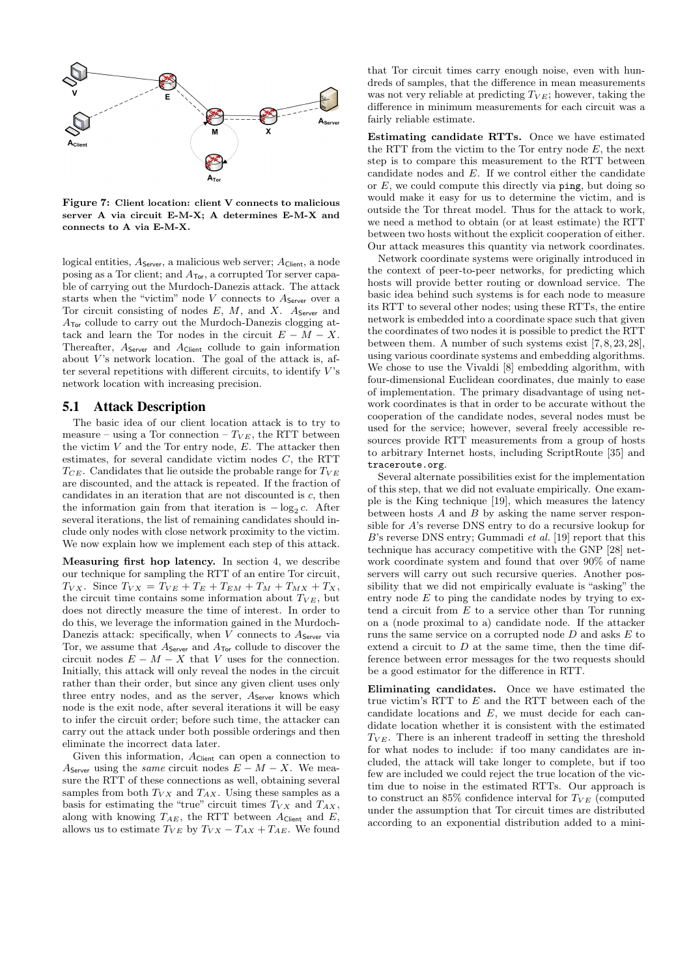

Figure 7: Client location: client V connects to malicious server A via circuit E-M-X; A determines E-M-X and connects to A via E-M-X.

logical entities,  $A_{\text{Server}}$ , a malicious web server;  $A_{\text{Client}}$ , a node posing as a Tor client; and  $A_{\text{Tor}}$ , a corrupted Tor server capable of carrying out the Murdoch-Danezis attack. The attack starts when the "victim" node V connects to  $A_{Server}$  over a Tor circuit consisting of nodes  $E, M$ , and  $X$ .  $A_{\text{Server}}$  and  $A<sub>Tor</sub>$  collude to carry out the Murdoch-Danezis clogging attack and learn the Tor nodes in the circuit  $E - M - X$ . Thereafter,  $A_{\text{Server}}$  and  $A_{\text{Client}}$  collude to gain information about  $V$ 's network location. The goal of the attack is, after several repetitions with different circuits, to identify  $V$ 's network location with increasing precision.

#### 5.1 Attack Description

The basic idea of our client location attack is to try to measure – using a Tor connection –  $T_{VE}$ , the RTT between the victim  $V$  and the Tor entry node,  $E$ . The attacker then estimates, for several candidate victim nodes C, the RTT  $T_{CE}$ . Candidates that lie outside the probable range for  $T_{VE}$ are discounted, and the attack is repeated. If the fraction of candidates in an iteration that are not discounted is c, then the information gain from that iteration is  $-\log_2 c$ . After several iterations, the list of remaining candidates should include only nodes with close network proximity to the victim. We now explain how we implement each step of this attack.

Measuring first hop latency. In section 4, we describe our technique for sampling the RTT of an entire Tor circuit,  $T_{VX}$ . Since  $T_{VX} = T_{VE} + T_E + T_{EM} + T_M + T_{MX} + T_X$ , the circuit time contains some information about  $T_{VE}$ , but does not directly measure the time of interest. In order to do this, we leverage the information gained in the Murdoch-Danezis attack: specifically, when  $V$  connects to  $A_{\text{Server}}$  via Tor, we assume that  $A_{\text{Server}}$  and  $A_{\text{Tor}}$  collude to discover the circuit nodes  $E - M - X$  that V uses for the connection. Initially, this attack will only reveal the nodes in the circuit rather than their order, but since any given client uses only three entry nodes, and as the server,  $A_{\text{Server}}$  knows which node is the exit node, after several iterations it will be easy to infer the circuit order; before such time, the attacker can carry out the attack under both possible orderings and then eliminate the incorrect data later.

Given this information,  $A_{\text{Client}}$  can open a connection to Aserver using the same circuit nodes  $E - M - X$ . We measure the RTT of these connections as well, obtaining several samples from both  $T_{VX}$  and  $T_{AX}$ . Using these samples as a basis for estimating the "true" circuit times  $T_{VX}$  and  $T_{AX}$ , along with knowing  $T_{AE}$ , the RTT between  $A_{Client}$  and  $E$ , allows us to estimate  $T_{VE}$  by  $T_{VX} - T_{AX} + T_{AE}$ . We found

that Tor circuit times carry enough noise, even with hundreds of samples, that the difference in mean measurements was not very reliable at predicting  $T_{VE}$ ; however, taking the difference in minimum measurements for each circuit was a fairly reliable estimate.

Estimating candidate RTTs. Once we have estimated the RTT from the victim to the Tor entry node  $E$ , the next step is to compare this measurement to the RTT between candidate nodes and  $E$ . If we control either the candidate or  $E$ , we could compute this directly via ping, but doing so would make it easy for us to determine the victim, and is outside the Tor threat model. Thus for the attack to work, we need a method to obtain (or at least estimate) the RTT between two hosts without the explicit cooperation of either. Our attack measures this quantity via network coordinates.

Network coordinate systems were originally introduced in the context of peer-to-peer networks, for predicting which hosts will provide better routing or download service. The basic idea behind such systems is for each node to measure its RTT to several other nodes; using these RTTs, the entire network is embedded into a coordinate space such that given the coordinates of two nodes it is possible to predict the RTT between them. A number of such systems exist [7, 8, 23, 28], using various coordinate systems and embedding algorithms. We chose to use the Vivaldi [8] embedding algorithm, with four-dimensional Euclidean coordinates, due mainly to ease of implementation. The primary disadvantage of using network coordinates is that in order to be accurate without the cooperation of the candidate nodes, several nodes must be used for the service; however, several freely accessible resources provide RTT measurements from a group of hosts to arbitrary Internet hosts, including ScriptRoute [35] and traceroute.org.

Several alternate possibilities exist for the implementation of this step, that we did not evaluate empirically. One example is the King technique [19], which measures the latency between hosts  $A$  and  $B$  by asking the name server responsible for A's reverse DNS entry to do a recursive lookup for  $B$ 's reverse DNS entry; Gummadi *et al.* [19] report that this technique has accuracy competitive with the GNP [28] network coordinate system and found that over 90% of name servers will carry out such recursive queries. Another possibility that we did not empirically evaluate is "asking" the entry node  $E$  to ping the candidate nodes by trying to extend a circuit from  $E$  to a service other than Tor running on a (node proximal to a) candidate node. If the attacker runs the same service on a corrupted node D and asks E to extend a circuit to  $D$  at the same time, then the time difference between error messages for the two requests should be a good estimator for the difference in RTT.

Eliminating candidates. Once we have estimated the true victim's RTT to E and the RTT between each of the candidate locations and E, we must decide for each candidate location whether it is consistent with the estimated  $T_{VE}$ . There is an inherent tradeoff in setting the threshold for what nodes to include: if too many candidates are included, the attack will take longer to complete, but if too few are included we could reject the true location of the victim due to noise in the estimated RTTs. Our approach is to construct an 85% confidence interval for  $T_{VE}$  (computed under the assumption that Tor circuit times are distributed according to an exponential distribution added to a mini-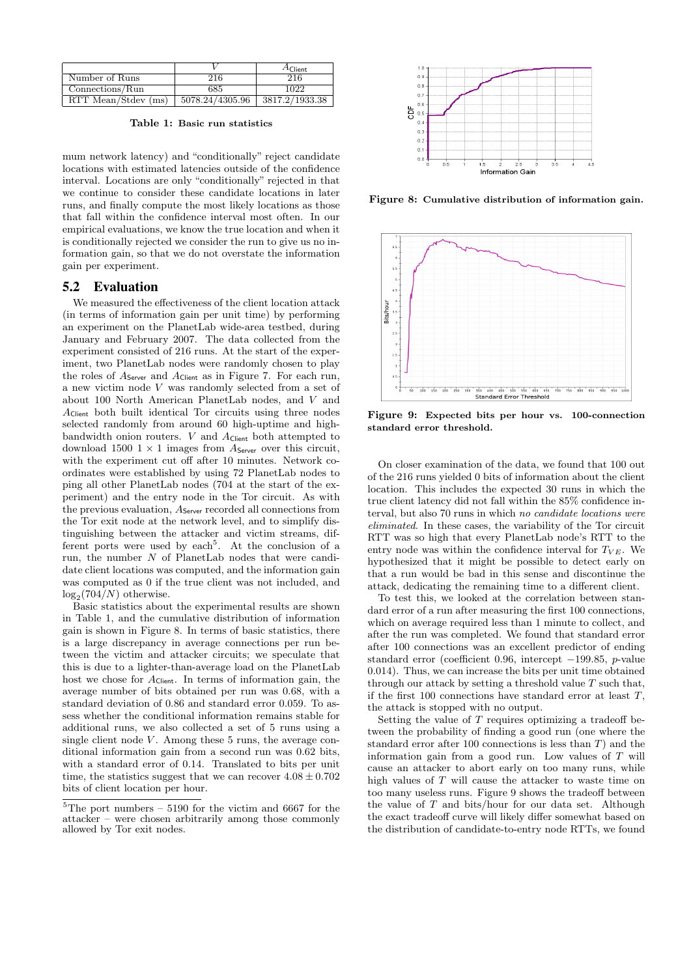|                     |                 | $AC$ lient     |
|---------------------|-----------------|----------------|
| Number of Runs      | 216             | 216            |
| Connections/Run     | 685             | 1022           |
| RTT Mean/Stdev (ms) | 5078.24/4305.96 | 3817.2/1933.38 |

Table 1: Basic run statistics

mum network latency) and "conditionally" reject candidate locations with estimated latencies outside of the confidence interval. Locations are only "conditionally" rejected in that we continue to consider these candidate locations in later runs, and finally compute the most likely locations as those that fall within the confidence interval most often. In our empirical evaluations, we know the true location and when it is conditionally rejected we consider the run to give us no information gain, so that we do not overstate the information gain per experiment.

#### 5.2 Evaluation

We measured the effectiveness of the client location attack (in terms of information gain per unit time) by performing an experiment on the PlanetLab wide-area testbed, during January and February 2007. The data collected from the experiment consisted of 216 runs. At the start of the experiment, two PlanetLab nodes were randomly chosen to play the roles of AServer and AClient as in Figure 7. For each run, a new victim node V was randomly selected from a set of about 100 North American PlanetLab nodes, and V and AClient both built identical Tor circuits using three nodes selected randomly from around 60 high-uptime and highbandwidth onion routers.  $V$  and  $A$ <sub>Client</sub> both attempted to download 1500  $1 \times 1$  images from  $A_{\text{Server}}$  over this circuit, with the experiment cut off after 10 minutes. Network coordinates were established by using 72 PlanetLab nodes to ping all other PlanetLab nodes (704 at the start of the experiment) and the entry node in the Tor circuit. As with the previous evaluation, AServer recorded all connections from the Tor exit node at the network level, and to simplify distinguishing between the attacker and victim streams, different ports were used by each<sup>5</sup>. At the conclusion of a run, the number N of PlanetLab nodes that were candidate client locations was computed, and the information gain was computed as 0 if the true client was not included, and  $\log_2(704/N)$  otherwise.

Basic statistics about the experimental results are shown in Table 1, and the cumulative distribution of information gain is shown in Figure 8. In terms of basic statistics, there is a large discrepancy in average connections per run between the victim and attacker circuits; we speculate that this is due to a lighter-than-average load on the PlanetLab host we chose for  $A_{\text{Client}}$ . In terms of information gain, the average number of bits obtained per run was 0.68, with a standard deviation of 0.86 and standard error 0.059. To assess whether the conditional information remains stable for additional runs, we also collected a set of 5 runs using a single client node  $V$ . Among these  $5$  runs, the average conditional information gain from a second run was 0.62 bits, with a standard error of 0.14. Translated to bits per unit time, the statistics suggest that we can recover  $4.08 \pm 0.702$ bits of client location per hour.



Figure 8: Cumulative distribution of information gain.



Figure 9: Expected bits per hour vs. 100-connection standard error threshold.

On closer examination of the data, we found that 100 out of the 216 runs yielded 0 bits of information about the client location. This includes the expected 30 runs in which the true client latency did not fall within the 85% confidence interval, but also 70 runs in which no candidate locations were eliminated. In these cases, the variability of the Tor circuit RTT was so high that every PlanetLab node's RTT to the entry node was within the confidence interval for  $T_{VE}$ . We hypothesized that it might be possible to detect early on that a run would be bad in this sense and discontinue the attack, dedicating the remaining time to a different client.

To test this, we looked at the correlation between standard error of a run after measuring the first 100 connections, which on average required less than 1 minute to collect, and after the run was completed. We found that standard error after 100 connections was an excellent predictor of ending standard error (coefficient 0.96, intercept −199.85, p-value 0.014). Thus, we can increase the bits per unit time obtained through our attack by setting a threshold value  $T$  such that, if the first 100 connections have standard error at least  $T$ , the attack is stopped with no output.

Setting the value of T requires optimizing a tradeoff between the probability of finding a good run (one where the standard error after 100 connections is less than  $T$ ) and the information gain from a good run. Low values of T will cause an attacker to abort early on too many runs, while high values of T will cause the attacker to waste time on too many useless runs. Figure 9 shows the tradeoff between the value of  $T$  and bits/hour for our data set. Although the exact tradeoff curve will likely differ somewhat based on the distribution of candidate-to-entry node RTTs, we found

 ${\rm ^5The}$  port numbers –  $5190$  for the victim and 6667 for the attacker – were chosen arbitrarily among those commonly allowed by Tor exit nodes.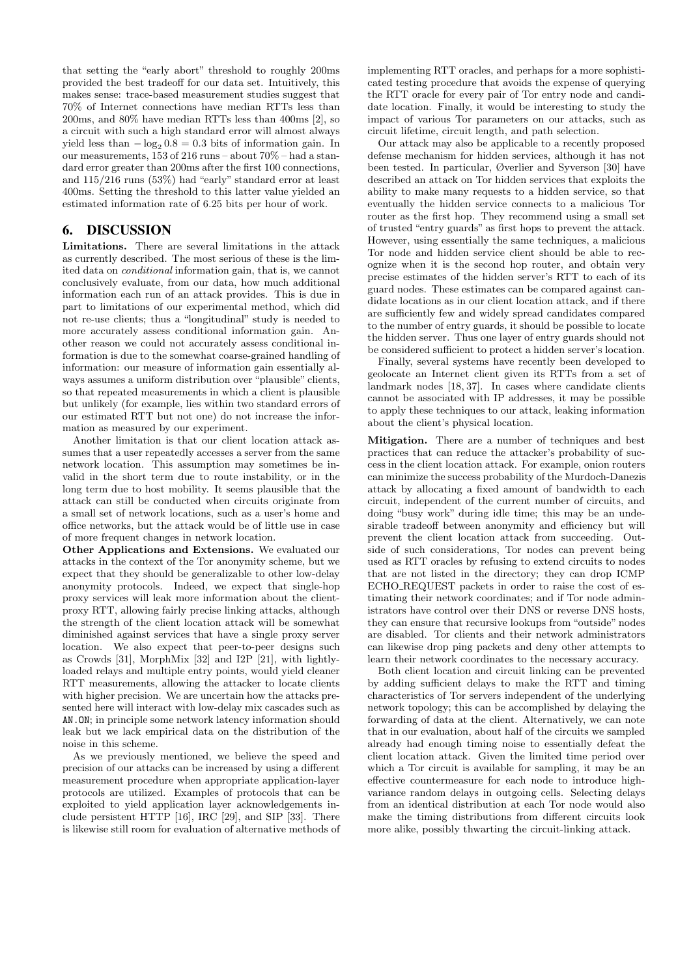that setting the "early abort" threshold to roughly 200ms provided the best tradeoff for our data set. Intuitively, this makes sense: trace-based measurement studies suggest that 70% of Internet connections have median RTTs less than 200ms, and 80% have median RTTs less than 400ms [2], so a circuit with such a high standard error will almost always yield less than  $-\log_2 0.8 = 0.3$  bits of information gain. In our measurements, 153 of 216 runs – about 70% – had a standard error greater than 200ms after the first 100 connections, and 115/216 runs (53%) had "early" standard error at least 400ms. Setting the threshold to this latter value yielded an estimated information rate of 6.25 bits per hour of work.

# 6. DISCUSSION

Limitations. There are several limitations in the attack as currently described. The most serious of these is the limited data on conditional information gain, that is, we cannot conclusively evaluate, from our data, how much additional information each run of an attack provides. This is due in part to limitations of our experimental method, which did not re-use clients; thus a "longitudinal" study is needed to more accurately assess conditional information gain. Another reason we could not accurately assess conditional information is due to the somewhat coarse-grained handling of information: our measure of information gain essentially always assumes a uniform distribution over "plausible" clients, so that repeated measurements in which a client is plausible but unlikely (for example, lies within two standard errors of our estimated RTT but not one) do not increase the information as measured by our experiment.

Another limitation is that our client location attack assumes that a user repeatedly accesses a server from the same network location. This assumption may sometimes be invalid in the short term due to route instability, or in the long term due to host mobility. It seems plausible that the attack can still be conducted when circuits originate from a small set of network locations, such as a user's home and office networks, but the attack would be of little use in case of more frequent changes in network location.

Other Applications and Extensions. We evaluated our attacks in the context of the Tor anonymity scheme, but we expect that they should be generalizable to other low-delay anonymity protocols. Indeed, we expect that single-hop proxy services will leak more information about the clientproxy RTT, allowing fairly precise linking attacks, although the strength of the client location attack will be somewhat diminished against services that have a single proxy server location. We also expect that peer-to-peer designs such as Crowds [31], MorphMix [32] and I2P [21], with lightlyloaded relays and multiple entry points, would yield cleaner RTT measurements, allowing the attacker to locate clients with higher precision. We are uncertain how the attacks presented here will interact with low-delay mix cascades such as AN.ON; in principle some network latency information should leak but we lack empirical data on the distribution of the noise in this scheme.

As we previously mentioned, we believe the speed and precision of our attacks can be increased by using a different measurement procedure when appropriate application-layer protocols are utilized. Examples of protocols that can be exploited to yield application layer acknowledgements include persistent HTTP [16], IRC [29], and SIP [33]. There is likewise still room for evaluation of alternative methods of implementing RTT oracles, and perhaps for a more sophisticated testing procedure that avoids the expense of querying the RTT oracle for every pair of Tor entry node and candidate location. Finally, it would be interesting to study the impact of various Tor parameters on our attacks, such as circuit lifetime, circuit length, and path selection.

Our attack may also be applicable to a recently proposed defense mechanism for hidden services, although it has not been tested. In particular, Øverlier and Syverson [30] have described an attack on Tor hidden services that exploits the ability to make many requests to a hidden service, so that eventually the hidden service connects to a malicious Tor router as the first hop. They recommend using a small set of trusted "entry guards" as first hops to prevent the attack. However, using essentially the same techniques, a malicious Tor node and hidden service client should be able to recognize when it is the second hop router, and obtain very precise estimates of the hidden server's RTT to each of its guard nodes. These estimates can be compared against candidate locations as in our client location attack, and if there are sufficiently few and widely spread candidates compared to the number of entry guards, it should be possible to locate the hidden server. Thus one layer of entry guards should not be considered sufficient to protect a hidden server's location.

Finally, several systems have recently been developed to geolocate an Internet client given its RTTs from a set of landmark nodes [18, 37]. In cases where candidate clients cannot be associated with IP addresses, it may be possible to apply these techniques to our attack, leaking information about the client's physical location.

Mitigation. There are a number of techniques and best practices that can reduce the attacker's probability of success in the client location attack. For example, onion routers can minimize the success probability of the Murdoch-Danezis attack by allocating a fixed amount of bandwidth to each circuit, independent of the current number of circuits, and doing "busy work" during idle time; this may be an undesirable tradeoff between anonymity and efficiency but will prevent the client location attack from succeeding. Outside of such considerations, Tor nodes can prevent being used as RTT oracles by refusing to extend circuits to nodes that are not listed in the directory; they can drop ICMP ECHO REQUEST packets in order to raise the cost of estimating their network coordinates; and if Tor node administrators have control over their DNS or reverse DNS hosts, they can ensure that recursive lookups from "outside" nodes are disabled. Tor clients and their network administrators can likewise drop ping packets and deny other attempts to learn their network coordinates to the necessary accuracy.

Both client location and circuit linking can be prevented by adding sufficient delays to make the RTT and timing characteristics of Tor servers independent of the underlying network topology; this can be accomplished by delaying the forwarding of data at the client. Alternatively, we can note that in our evaluation, about half of the circuits we sampled already had enough timing noise to essentially defeat the client location attack. Given the limited time period over which a Tor circuit is available for sampling, it may be an effective countermeasure for each node to introduce highvariance random delays in outgoing cells. Selecting delays from an identical distribution at each Tor node would also make the timing distributions from different circuits look more alike, possibly thwarting the circuit-linking attack.